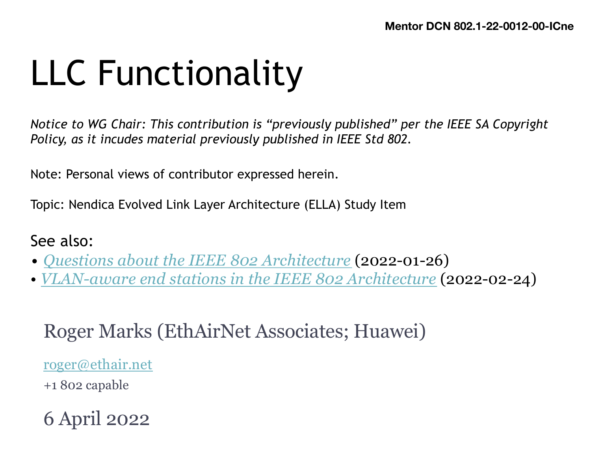# LLC Functionality

 *Notice to WG Chair: This contribution is "previously published" per the IEEE SA Copyright Policy, as it incudes material previously published in IEEE Std 802.*

Note: Personal views of contributor expressed herein.

Topic: Nendica Evolved Link Layer Architecture (ELLA) Study Item

#### See also:

- *[Questions about the IEEE 802 Architectur](https://mentor.ieee.org/802.1/documents?is_group=ICne&is_year=2021&is_dcn=0074)e* (2022-01-26)
- *[VLAN-aware end stations in the IEEE 802 Architectur](https://mentor.ieee.org/802.1/documents?is_group=ICne&is_year=2022&is_dcn=0003)e* (2022-02-24)

#### Roger Marks (EthAirNet Associates; Huawei)

[roger@ethair.ne](mailto:roger@ethair.net)t

+1 802 capable

6 April 2022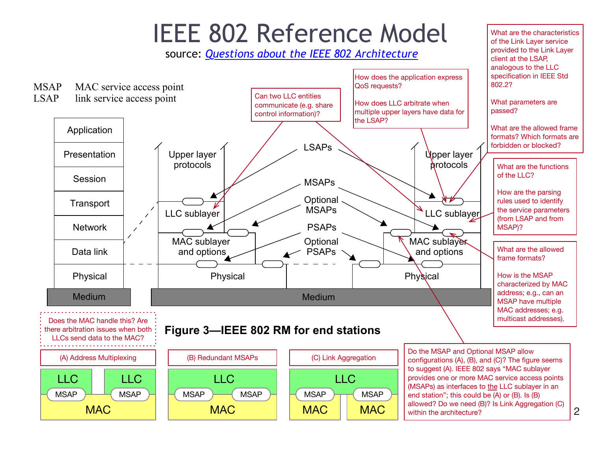

Each IEEE 802 standard has RMS that are more detailed in order to describe the structure for the structure for<br>The specific in order to describe the specific that specific in order that specific in order that specific in

**MAC** 

**MAC** 

within the architecture?

**MAC** 

MAC

<sup>2</sup>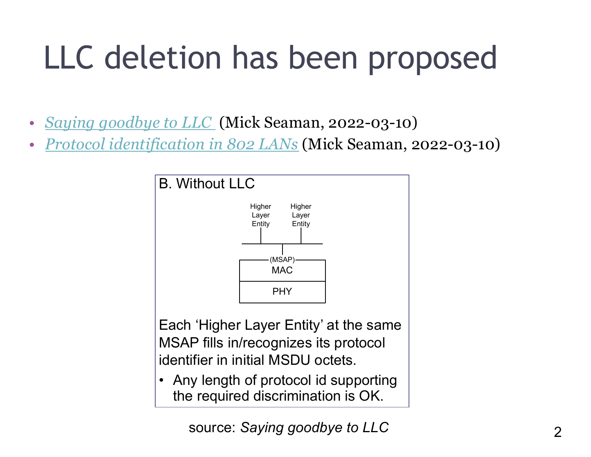## LLC deletion has been proposed

- *[Saying goodbye to LLC](https://mentor.ieee.org/802.1/documents?is_group=ICne&is_year=2022&is_dcn=0007)* (Mick Seaman, 2022-03-10)
- · *Protocol identification in 802 LANs* (Mick Seaman, 2022-03-10)



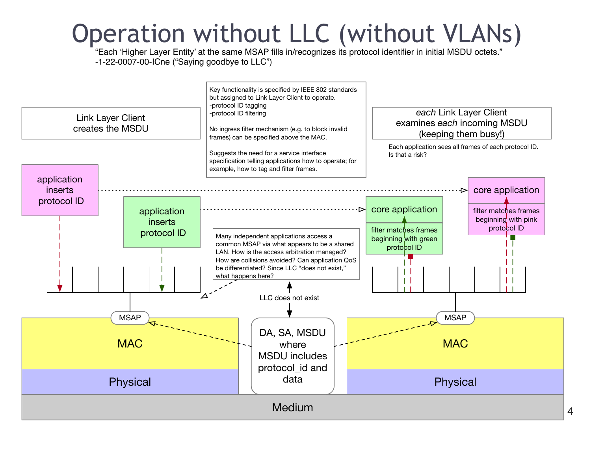#### Operation without LLC (without VLANs)

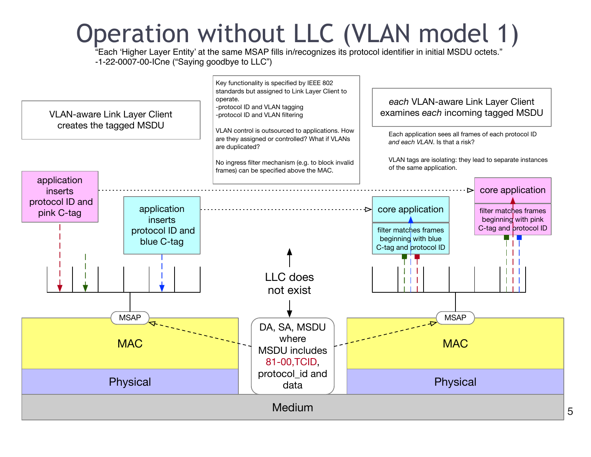#### Operation without LLC (VLAN model 1)

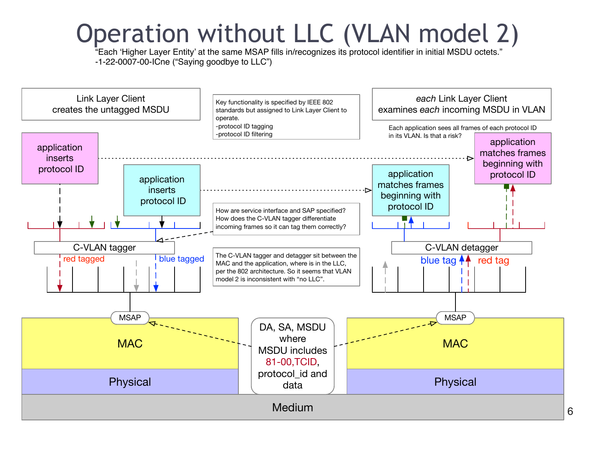#### Operation without LLC (VLAN model 2)

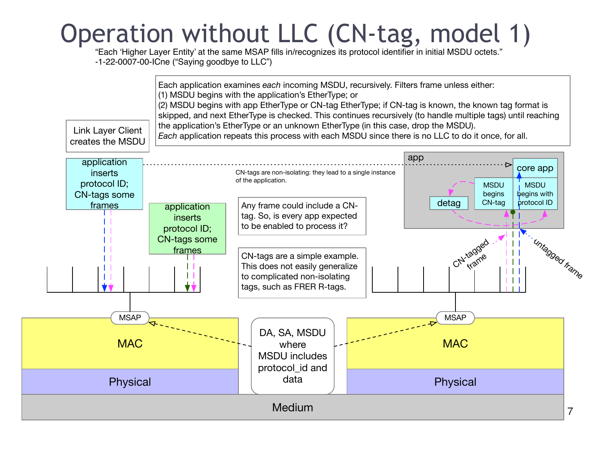## Operation without LLC (CN-tag, model 1)

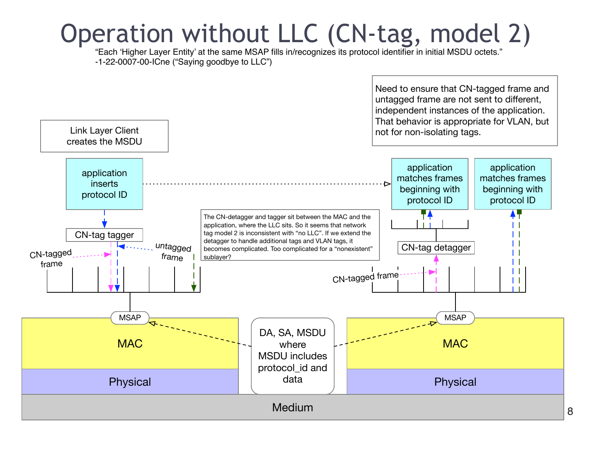#### Operation without LLC (CN-tag, model 2)

"Each 'Higher Layer Entity' at the same MSAP fills in/recognizes its protocol identifier in initial MSDU octets." -1-22-0007-00-ICne ("Saying goodbye to LLC")

> Need to ensure that CN-tagged frame and untagged frame are not sent to different, independent instances of the application. That behavior is appropriate for VLAN, but not for non-isolating tags.

> > 8

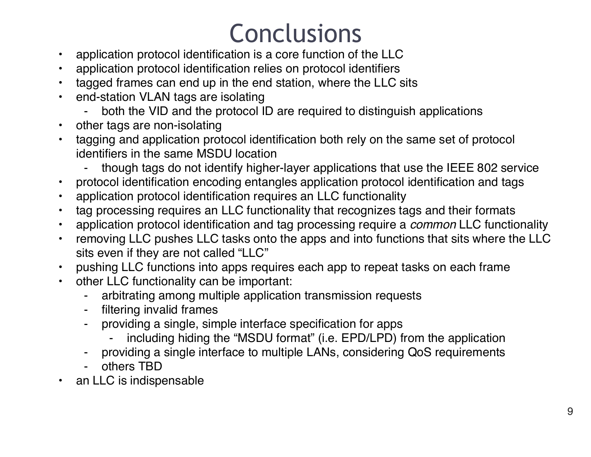## Conclusions

- application protocol identification is a core function of the LLC
- application protocol identification relies on protocol identifiers
- tagged frames can end up in the end station, where the LLC sits
- end-station VLAN tags are isolating
	- both the VID and the protocol ID are required to distinguish applications
- other tags are non-isolating
- tagging and application protocol identification both rely on the same set of protocol identifiers in the same MSDU location
	- though tags do not identify higher-layer applications that use the IEEE 802 service
- protocol identification encoding entangles application protocol identification and tags
- application protocol identification requires an LLC functionality
- tag processing requires an LLC functionality that recognizes tags and their formats
- application protocol identification and tag processing require a *common* LLC functionality
- removing LLC pushes LLC tasks onto the apps and into functions that sits where the LLC sits even if they are not called "LLC"
- pushing LLC functions into apps requires each app to repeat tasks on each frame
- other LLC functionality can be important:
	- ⁃ arbitrating among multiple application transmission requests
	- filtering invalid frames
	- providing a single, simple interface specification for apps
		- including hiding the "MSDU format" (i.e. EPD/LPD) from the application
	- providing a single interface to multiple LANs, considering QoS requirements
	- others TBD
- an LLC is indispensable